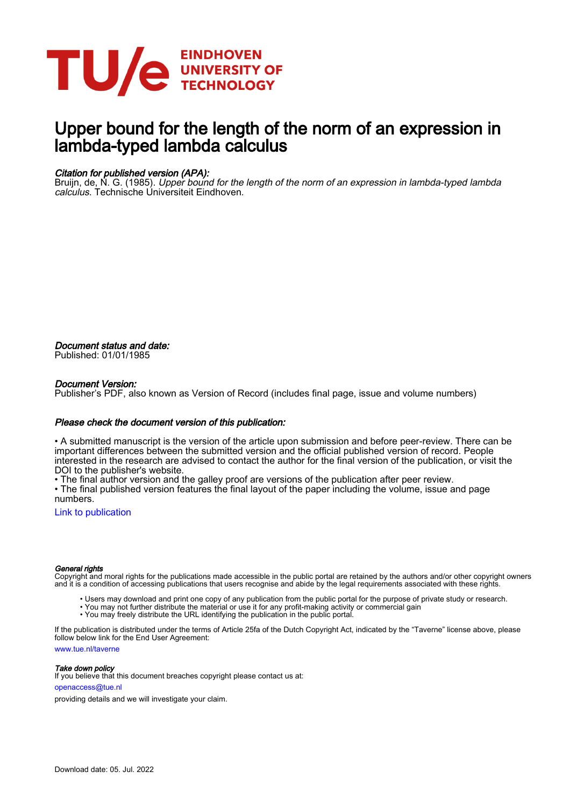

# Upper bound for the length of the norm of an expression in lambda-typed lambda calculus

## Citation for published version (APA):

Bruijn, de, N. G. (1985). Upper bound for the length of the norm of an expression in lambda-typed lambda calculus. Technische Universiteit Eindhoven.

Document status and date: Published: 01/01/1985

#### Document Version:

Publisher's PDF, also known as Version of Record (includes final page, issue and volume numbers)

#### Please check the document version of this publication:

• A submitted manuscript is the version of the article upon submission and before peer-review. There can be important differences between the submitted version and the official published version of record. People interested in the research are advised to contact the author for the final version of the publication, or visit the DOI to the publisher's website.

• The final author version and the galley proof are versions of the publication after peer review.

• The final published version features the final layout of the paper including the volume, issue and page numbers.

[Link to publication](https://research.tue.nl/en/publications/c4206cd2-6af1-4890-a17c-f59a9f3997ea)

#### General rights

Copyright and moral rights for the publications made accessible in the public portal are retained by the authors and/or other copyright owners and it is a condition of accessing publications that users recognise and abide by the legal requirements associated with these rights.

- Users may download and print one copy of any publication from the public portal for the purpose of private study or research.
- You may not further distribute the material or use it for any profit-making activity or commercial gain
- You may freely distribute the URL identifying the publication in the public portal.

If the publication is distributed under the terms of Article 25fa of the Dutch Copyright Act, indicated by the "Taverne" license above, please follow below link for the End User Agreement:

www.tue.nl/taverne

**Take down policy**<br>If you believe that this document breaches copyright please contact us at:

openaccess@tue.nl

providing details and we will investigate your claim.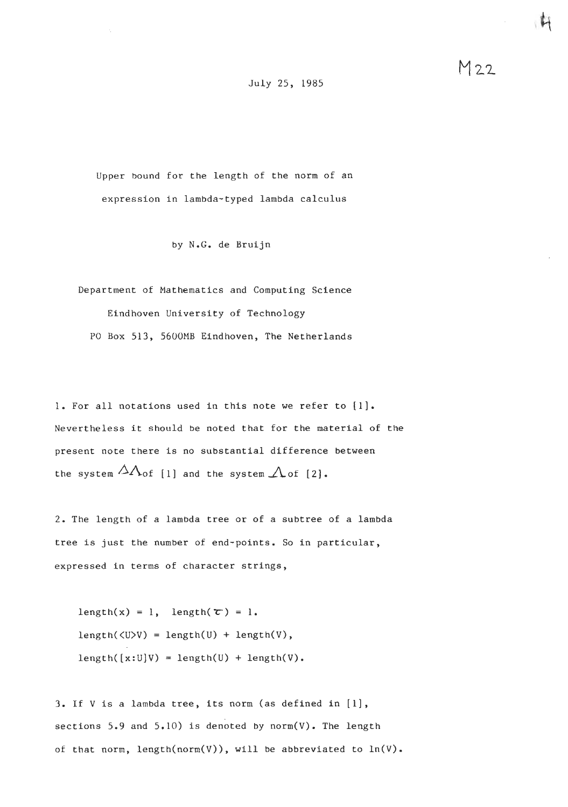July 25, 1985

Upper bound for the length of the norm of an expression in lambda-typed lambda calculus

by N,G. de Bruijn

Department of Mathematics and Computing Science Eindhoven University of Technology PO Box 513, 5600MB Eindhoven, The Netherlands

1, For all notations used in this note we refer to [I]. Nevertheless it should be noted that for the material of the present note there is no substantial difference between the system  $\Delta\Lambda$  of [1] and the system  $\Lambda$  of [2].

2. The length of a lambda tree or of a subtree of a lambda tree is just the number of end-points. So in particular, expressed in terms of character strings,

length(x) = 1, length( $\tau$ ) = 1.  $length(\langle U \rangle V) = length(U) + length(V),$  $length([x:U]V) = length(U) + length(V).$ 

*3.* If V is a lambda tree, its norm (as defined in [l], sections  $5.9$  and  $5.10$ ) is denoted by norm(V). The length of that norm, length(norm(V)), will be abbreviated to ln(V).  $M22$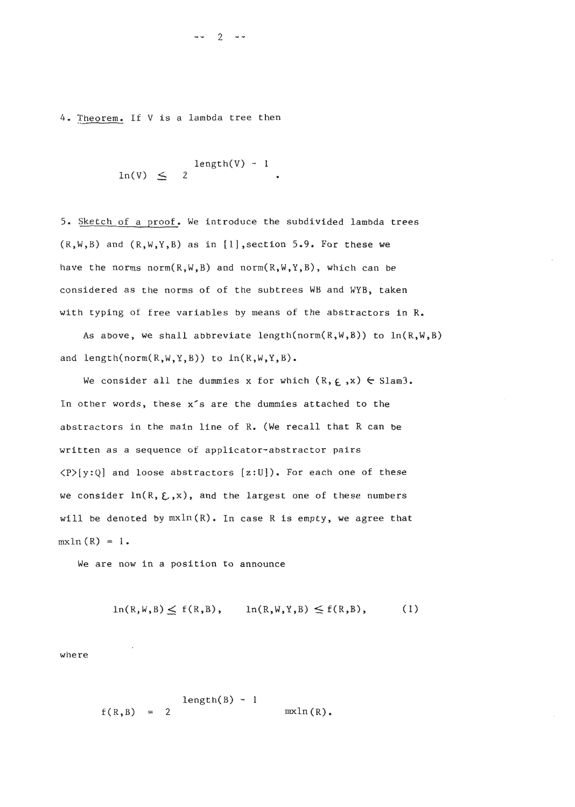4. Theorem. If V is a lambda tree then

$$
\begin{array}{rcl}\n\text{length}(V) & \sim & 1 \\
\text{ln}(V) & \leq & 2\n\end{array}
$$

5. Sketch of a proof. We introduce the subdivided lambda trees  $(R,W,B)$  and  $(R,W,Y,B)$  as in [1], section 5.9. For these we have the norms  $norm(R,W,B)$  and  $norm(R,W,Y,B)$ , which can be considered as the norms of of the subtrees WB and WYB, taken with typing of free variables by means of the abstractors in R.

As above, we shall abbreviate length( $norm(R,W,B)$ ) to  $ln(R,W,B)$ and length(norm( $R,W,Y,B$ ) to  $ln(R,W,Y,B)$ .

We consider all the dummies x for which  $(R, \epsilon, x) \in$  Slam3. In other words, these x's are the dummies attached to the abstractors in the main line of R. (We recall that R can be written as a sequence of applicator-abstractor pairs <P>[y:Q] and loose abstractors **[z:U]).** For each one of these we consider  $ln(R, \Sigma, x)$ , and the largest one of these numbers will be denoted by  $mx\ln(R)$ . In case R is empty, we agree that  $mxln(R) = 1$ .

We are now in a position to announce

$$
\ln(R,W,B) \le f(R,B), \qquad \ln(R,W,Y,B) \le f(R,B), \qquad (1)
$$

where

 $length(B) - 1$  $f(R, B) = 2$  $mxln(R)$ .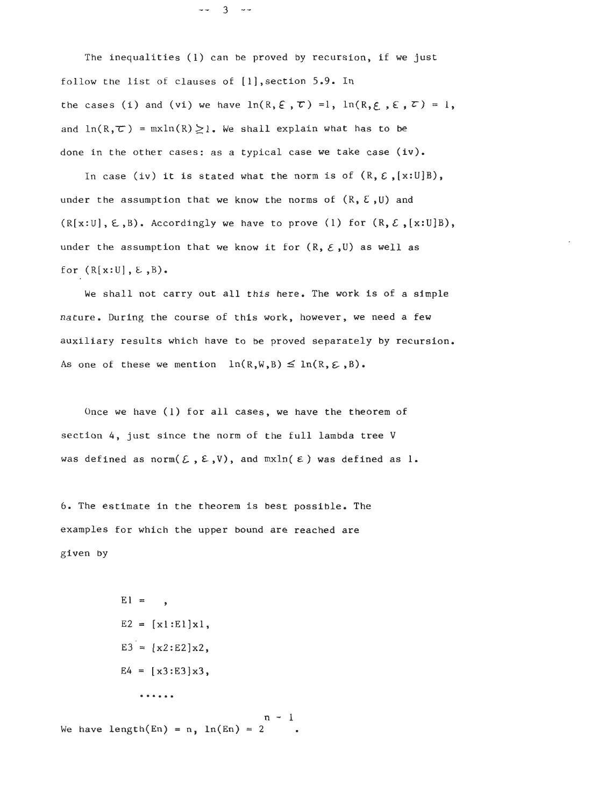$- - 3 - -$ 

The inequalities (1) can be proved by recursion, if we just follow the list of clauses of [l],section 5.9. In the cases (i) and (vi) we have  $\ln(R, \xi, \tau) = 1$ ,  $\ln(R, \xi, \xi, \tau) = 1$ , and  $ln(R, \tau) = m x ln(R) \ge 1$ . We shall explain what has to be done in the other cases: as a typical case we take case (iv).

In case (iv) it is stated what the norm is of  $(R, \varepsilon, [x:U]B)$ , under the assumption that we know the norms of  $(R, \mathcal{E}, U)$  and  $(R[x:U], \epsilon, B)$ . Accordingly we have to prove (1) for  $(R, \epsilon, [x:U]B)$ , under the assumption that we know it for  $(R, \varepsilon, U)$  as well as for  $(R[x:U], E, B)$ .

We shall not carry out all this here. The work is of a simple nature. During the course of this work, however, we need a few<br>auxiliary results which have to be proved separately by recursi<br>As one of these we mention  $ln(R,W,B) \leq ln(R,\epsilon,B)$ . auxiliary results which have to be proved separately by recursion.

Once we have (1) for all cases, we have the theorem of section 4, just since the norm of the full lambda tree V was defined as norm $(\xi, \xi, V)$ , and  $m\lambda ln(\xi)$  was defined as 1.

*6.* The estimate in the theorem is best possible. The examples for which the upper bound are reached are given by

$$
E1 = ,
$$
  
\n
$$
E2 = [x1:E1]x1,
$$
  
\n
$$
E3 = [x2:E2]x2,
$$
  
\n
$$
E4 = [x3:E3]x3,
$$
  
\n...

 $1 - 1$ We have length(En) =  $n$ ,  $ln(En) = 2$